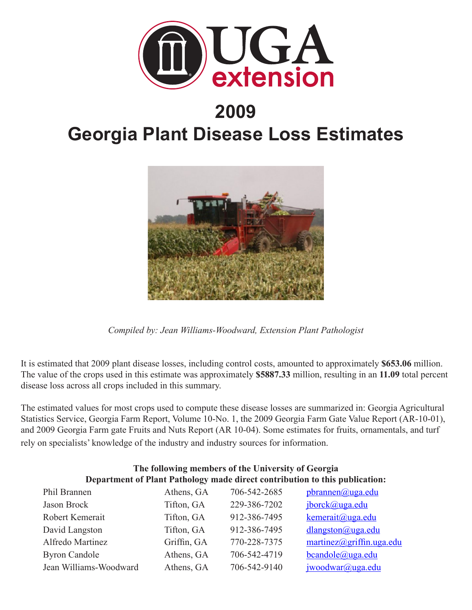

## **2009**

# **Georgia Plant Disease Loss Estimates**



*Compiled by: Jean Williams-Woodward, Extension Plant Pathologist*

It is estimated that 2009 plant disease losses, including control costs, amounted to approximately **\$653.06** million. The value of the crops used in this estimate was approximately **\$5887.33** million, resulting in an **11.09** total percent disease loss across all crops included in this summary.

The estimated values for most crops used to compute these disease losses are summarized in: Georgia Agricultural Statistics Service, Georgia Farm Report, Volume 10-No. 1, the 2009 Georgia Farm Gate Value Report (AR-10-01), and 2009 Georgia Farm gate Fruits and Nuts Report (AR 10-04). Some estimates for fruits, ornamentals, and turf rely on specialists' knowledge of the industry and industry sources for information.

| THE TOHOWING INCHIDED OF the UNIVERSITY OF OCOF GRA                         |             |              |                           |  |  |  |
|-----------------------------------------------------------------------------|-------------|--------------|---------------------------|--|--|--|
| Department of Plant Pathology made direct contribution to this publication: |             |              |                           |  |  |  |
| Phil Brannen                                                                | Athens, GA  | 706-542-2685 | pbrannen@uga.edu          |  |  |  |
| Jason Brock                                                                 | Tifton, GA  | 229-386-7202 | jborck@uga.edu            |  |  |  |
| Robert Kemerait                                                             | Tifton, GA  | 912-386-7495 | kemerait@uga.edu          |  |  |  |
| David Langston                                                              | Tifton, GA  | 912-386-7495 | dlangston@uga.edu         |  |  |  |
| Alfredo Martinez                                                            | Griffin, GA | 770-228-7375 | martinez@griffin. uga.edu |  |  |  |
| <b>Byron Candole</b>                                                        | Athens, GA  | 706-542-4719 | bcandole@uga.edu          |  |  |  |
| Jean Williams-Woodward                                                      | Athens, GA  | 706-542-9140 | jwoodwar@uga.edu          |  |  |  |

# **The following members of the University of Georgia**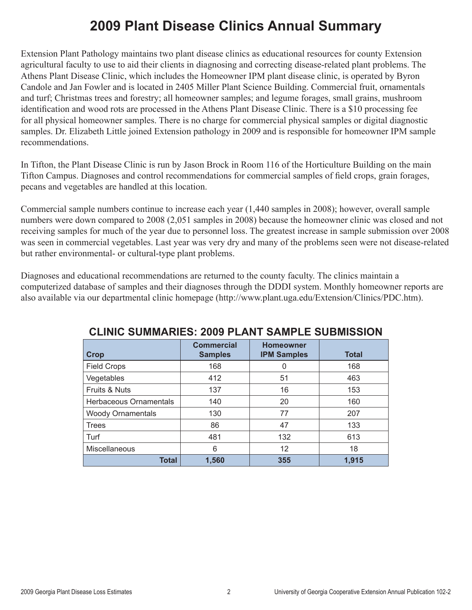## **2009 Plant Disease Clinics Annual Summary**

Extension Plant Pathology maintains two plant disease clinics as educational resources for county Extension agricultural faculty to use to aid their clients in diagnosing and correcting disease-related plant problems. The Athens Plant Disease Clinic, which includes the Homeowner IPM plant disease clinic, is operated by Byron Candole and Jan Fowler and is located in 2405 Miller Plant Science Building. Commercial fruit, ornamentals and turf; Christmas trees and forestry; all homeowner samples; and legume forages, small grains, mushroom identification and wood rots are processed in the Athens Plant Disease Clinic. There is a \$10 processing fee for all physical homeowner samples. There is no charge for commercial physical samples or digital diagnostic samples. Dr. Elizabeth Little joined Extension pathology in 2009 and is responsible for homeowner IPM sample recommendations.

In Tifton, the Plant Disease Clinic is run by Jason Brock in Room 116 of the Horticulture Building on the main Tifton Campus. Diagnoses and control recommendations for commercial samples of field crops, grain forages, pecans and vegetables are handled at this location.

Commercial sample numbers continue to increase each year (1,440 samples in 2008); however, overall sample numbers were down compared to 2008 (2,051 samples in 2008) because the homeowner clinic was closed and not receiving samples for much of the year due to personnel loss. The greatest increase in sample submission over 2008 was seen in commercial vegetables. Last year was very dry and many of the problems seen were not disease-related but rather environmental- or cultural-type plant problems.

Diagnoses and educational recommendations are returned to the county faculty. The clinics maintain a computerized database of samples and their diagnoses through the DDDI system. Monthly homeowner reports are also available via our departmental clinic homepage (http://www.plant.uga.edu/Extension/Clinics/PDC.htm).

| UUINIAINEU. EVVV I EAITI      |                                     |                                        |              |  |  |  |
|-------------------------------|-------------------------------------|----------------------------------------|--------------|--|--|--|
| <b>Crop</b>                   | <b>Commercial</b><br><b>Samples</b> | <b>Homeowner</b><br><b>IPM Samples</b> | <b>Total</b> |  |  |  |
| <b>Field Crops</b>            | 168                                 |                                        | 168          |  |  |  |
| Vegetables                    | 412                                 | 51                                     | 463          |  |  |  |
| Fruits & Nuts                 | 137                                 | 16                                     | 153          |  |  |  |
| <b>Herbaceous Ornamentals</b> | 140                                 | 20                                     | 160          |  |  |  |
| <b>Woody Ornamentals</b>      | 130                                 | 77                                     | 207          |  |  |  |
| <b>Trees</b>                  | 86                                  | 47                                     | 133          |  |  |  |
| Turf                          | 481                                 | 132                                    | 613          |  |  |  |
| Miscellaneous                 | 6                                   | $12 \overline{ }$                      | 18           |  |  |  |
| <b>Total</b>                  | 1,560                               | 355                                    | 1,915        |  |  |  |

#### **CLINIC SUMMARIES: 2009 PLANT SAMPLE SUBMISSION**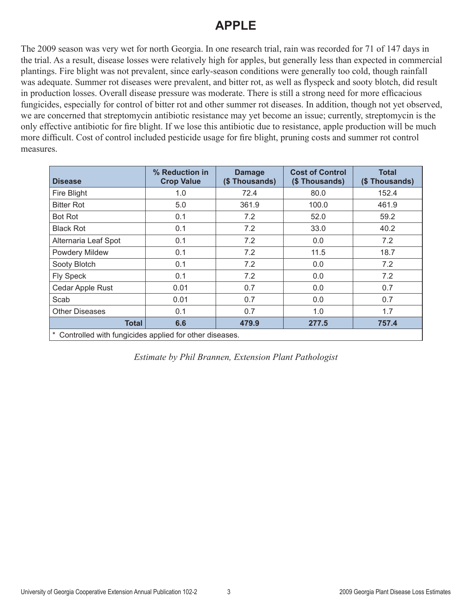#### **APPLE**

The 2009 season was very wet for north Georgia. In one research trial, rain was recorded for 71 of 147 days in the trial. As a result, disease losses were relatively high for apples, but generally less than expected in commercial plantings. Fire blight was not prevalent, since early-season conditions were generally too cold, though rainfall was adequate. Summer rot diseases were prevalent, and bitter rot, as well as flyspeck and sooty blotch, did result in production losses. Overall disease pressure was moderate. There is still a strong need for more efficacious fungicides, especially for control of bitter rot and other summer rot diseases. In addition, though not yet observed, we are concerned that streptomycin antibiotic resistance may yet become an issue; currently, streptomycin is the only effective antibiotic for fire blight. If we lose this antibiotic due to resistance, apple production will be much more difficult. Cost of control included pesticide usage for fire blight, pruning costs and summer rot control measures.

| <b>Disease</b>                                           | % Reduction in<br><b>Crop Value</b> | <b>Damage</b><br>(\$Thousands) | <b>Cost of Control</b><br>(\$Thousands) | <b>Total</b><br>(\$Thousands) |  |
|----------------------------------------------------------|-------------------------------------|--------------------------------|-----------------------------------------|-------------------------------|--|
| Fire Blight                                              | 1.0                                 | 72.4                           | 80.0                                    | 152.4                         |  |
| <b>Bitter Rot</b>                                        | 5.0                                 | 361.9                          | 100.0                                   | 461.9                         |  |
| <b>Bot Rot</b>                                           | 0.1                                 | 7.2                            | 52.0                                    | 59.2                          |  |
| <b>Black Rot</b>                                         | 0.1                                 | 7.2                            | 33.0                                    | 40.2                          |  |
| Alternaria Leaf Spot                                     | 0.1                                 | 7.2                            | 0.0                                     | 7.2                           |  |
| Powdery Mildew                                           | 0.1                                 | 7.2                            | 11.5                                    | 18.7                          |  |
| Sooty Blotch                                             | 0.1                                 | 7.2                            | 0.0                                     | 7.2                           |  |
| <b>Fly Speck</b>                                         | 0.1                                 | 7.2                            | 0.0                                     | 7.2                           |  |
| Cedar Apple Rust                                         | 0.01                                | 0.7                            | 0.0                                     | 0.7                           |  |
| Scab                                                     | 0.01                                | 0.7                            | 0.0                                     | 0.7                           |  |
| <b>Other Diseases</b>                                    | 0.1                                 | 0.7                            | 1.0                                     | 1.7                           |  |
| Total                                                    | 6.6                                 | 479.9                          | 277.5                                   | 757.4                         |  |
| * Controlled with fungicides applied for other diseases. |                                     |                                |                                         |                               |  |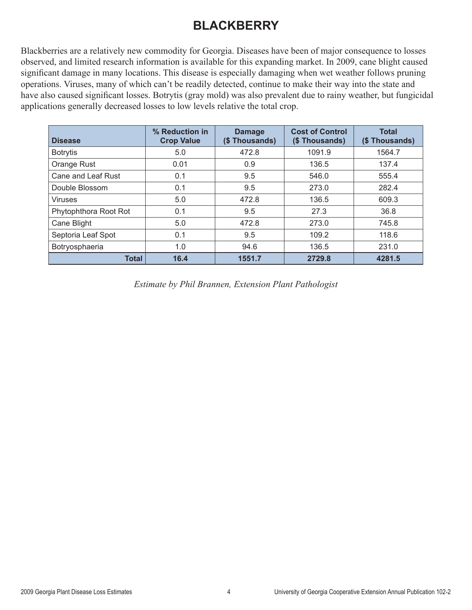### **BLACKBERRY**

Blackberries are a relatively new commodity for Georgia. Diseases have been of major consequence to losses observed, and limited research information is available for this expanding market. In 2009, cane blight caused significant damage in many locations. This disease is especially damaging when wet weather follows pruning operations. Viruses, many of which can't be readily detected, continue to make their way into the state and have also caused significant losses. Botrytis (gray mold) was also prevalent due to rainy weather, but fungicidal applications generally decreased losses to low levels relative the total crop.

| <b>Disease</b>        | % Reduction in<br><b>Crop Value</b> | <b>Damage</b><br>(\$Thousands) | <b>Cost of Control</b><br>(\$ Thousands) | <b>Total</b><br>(\$Thousands) |
|-----------------------|-------------------------------------|--------------------------------|------------------------------------------|-------------------------------|
| <b>Botrytis</b>       | 5.0                                 | 472.8                          | 1091.9                                   | 1564.7                        |
| Orange Rust           | 0.01                                | 0.9                            | 136.5                                    | 137.4                         |
| Cane and Leaf Rust    | 0.1                                 | 9.5                            | 546.0                                    | 555.4                         |
| Double Blossom        | 0.1                                 | 9.5                            | 273.0                                    | 282.4                         |
| <b>Viruses</b>        | 5.0                                 | 472.8                          | 136.5                                    | 609.3                         |
| Phytophthora Root Rot | 0.1                                 | 9.5                            | 27.3                                     | 36.8                          |
| Cane Blight           | 5.0                                 | 472.8                          | 273.0                                    | 745.8                         |
| Septoria Leaf Spot    | 0.1                                 | 9.5                            | 109.2                                    | 118.6                         |
| Botryosphaeria        | 1.0                                 | 94.6                           | 136.5                                    | 231.0                         |
| <b>Total</b>          | 16.4                                | 1551.7                         | 2729.8                                   | 4281.5                        |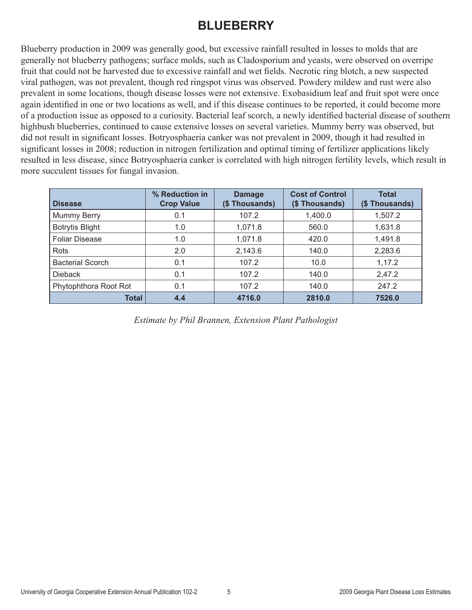#### **BLUEBERRY**

Blueberry production in 2009 was generally good, but excessive rainfall resulted in losses to molds that are generally not blueberry pathogens; surface molds, such as Cladosporium and yeasts, were observed on overripe fruit that could not be harvested due to excessive rainfall and wet fields. Necrotic ring blotch, a new suspected viral pathogen, was not prevalent, though red ringspot virus was observed. Powdery mildew and rust were also prevalent in some locations, though disease losses were not extensive. Exobasidium leaf and fruit spot were once again identified in one or two locations as well, and if this disease continues to be reported, it could become more of a production issue as opposed to a curiosity. Bacterial leaf scorch, a newly identified bacterial disease of southern highbush blueberries, continued to cause extensive losses on several varieties. Mummy berry was observed, but did not result in significant losses. Botryosphaeria canker was not prevalent in 2009, though it had resulted in significant losses in 2008; reduction in nitrogen fertilization and optimal timing of fertilizer applications likely resulted in less disease, since Botryosphaeria canker is correlated with high nitrogen fertility levels, which result in more succulent tissues for fungal invasion.

| <b>Disease</b>          | % Reduction in<br><b>Crop Value</b> | <b>Damage</b><br>(\$Thousands) | <b>Cost of Control</b><br>(\$Thousands) | <b>Total</b><br>(\$Thousands) |
|-------------------------|-------------------------------------|--------------------------------|-----------------------------------------|-------------------------------|
| Mummy Berry             | 0.1                                 | 107.2                          | 1,400.0                                 | 1,507.2                       |
| <b>Botrytis Blight</b>  | 1.0                                 | 1,071.8                        | 560.0                                   | 1,631.8                       |
| <b>Foliar Disease</b>   | 1.0                                 | 1,071.8                        | 420.0                                   | 1,491.8                       |
| Rots                    | 2.0                                 | 2,143.6                        | 140.0                                   | 2,283.6                       |
| <b>Bacterial Scorch</b> | 0.1                                 | 107.2                          | 10.0                                    | 1,17.2                        |
| <b>Dieback</b>          | 0.1                                 | 107.2                          | 140.0                                   | 2,47.2                        |
| Phytophthora Root Rot   | 0.1                                 | 107.2                          | 140.0                                   | 247.2                         |
| Total                   | 4.4                                 | 4716.0                         | 2810.0                                  | 7526.0                        |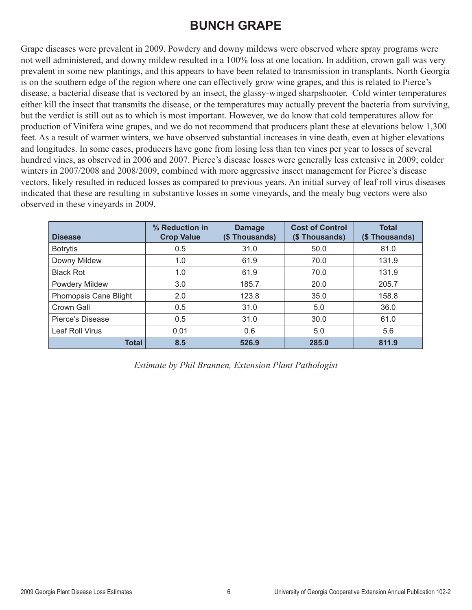#### **BUNCH GRAPE**

Grape diseases were prevalent in 2009. Powdery and downy mildews were observed where spray programs were not well administered, and downy mildew resulted in a 100% loss at one location. In addition, crown gall was very prevalent in some new plantings, and this appears to have been related to transmission in transplants. North Georgia is on the southern edge of the region where one can effectively grow wine grapes, and this is related to Pierce's disease, a bacterial disease that is vectored by an insect, the glassy-winged sharpshooter. Cold winter temperatures either kill the insect that transmits the disease, or the temperatures may actually prevent the bacteria from surviving, but the verdict is still out as to which is most important. However, we do know that cold temperatures allow for production of Vinifera wine grapes, and we do not recommend that producers plant these at elevations below 1,300 feet. As a result of warmer winters, we have observed substantial increases in vine death, even at higher elevations and longitudes. In some cases, producers have gone from losing less than ten vines per year to losses of several hundred vines, as observed in 2006 and 2007. Pierce's disease losses were generally less extensive in 2009; colder winters in 2007/2008 and 2008/2009, combined with more aggressive insect management for Pierce's disease vectors, likely resulted in reduced losses as compared to previous years. An initial survey of leaf roll virus diseases indicated that these are resulting in substantive losses in some vineyards, and the mealy bug vectors were also observed in these vineyards in 2009.

| <b>Disease</b>        | % Reduction in<br><b>Crop Value</b> | <b>Damage</b><br>(\$Thousands) | <b>Cost of Control</b><br>(\$Thousands) | <b>Total</b><br>(\$Thousands) |
|-----------------------|-------------------------------------|--------------------------------|-----------------------------------------|-------------------------------|
| <b>Botrytis</b>       | 0.5                                 | 31.0                           | 50.0                                    | 81.0                          |
| Downy Mildew          | 1.0                                 | 61.9                           | 70.0                                    | 131.9                         |
| <b>Black Rot</b>      | 1.0                                 | 61.9                           | 70.0                                    | 131.9                         |
| Powdery Mildew        | 3.0                                 | 185.7                          | 20.0                                    | 205.7                         |
| Phomopsis Cane Blight | 2.0                                 | 123.8                          | 35.0                                    | 158.8                         |
| Crown Gall            | 0.5                                 | 31.0                           | 5.0                                     | 36.0                          |
| Pierce's Disease      | 0.5                                 | 31.0                           | 30.0                                    | 61.0                          |
| Leaf Roll Virus       | 0.01                                | 0.6                            | 5.0                                     | 5.6                           |
| <b>Total</b>          | 8.5                                 | 526.9                          | 285.0                                   | 811.9                         |

*Estimate by Phil Brannen, Extension Plant Pathologist*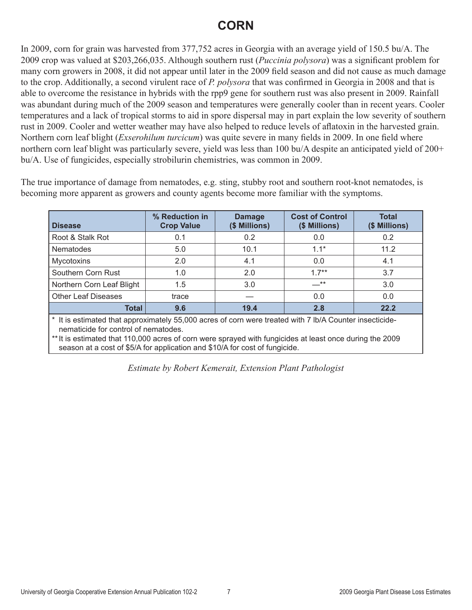#### **CORN**

In 2009, corn for grain was harvested from 377,752 acres in Georgia with an average yield of 150.5 bu/A. The 2009 crop was valued at \$203,266,035. Although southern rust (*Puccinia polysora*) was a significant problem for many corn growers in 2008, it did not appear until later in the 2009 field season and did not cause as much damage to the crop. Additionally, a second virulent race of *P. polysora* that was confirmed in Georgia in 2008 and that is able to overcome the resistance in hybrids with the rpp9 gene for southern rust was also present in 2009. Rainfall was abundant during much of the 2009 season and temperatures were generally cooler than in recent years. Cooler temperatures and a lack of tropical storms to aid in spore dispersal may in part explain the low severity of southern rust in 2009. Cooler and wetter weather may have also helped to reduce levels of aflatoxin in the harvested grain. Northern corn leaf blight (*Exserohilum turcicum*) was quite severe in many fields in 2009. In one field where northern corn leaf blight was particularly severe, yield was less than 100 bu/A despite an anticipated yield of 200+ bu/A. Use of fungicides, especially strobilurin chemistries, was common in 2009.

The true importance of damage from nematodes, e.g. sting, stubby root and southern root-knot nematodes, is becoming more apparent as growers and county agents become more familiar with the symptoms.

| <b>Disease</b>             | % Reduction in<br><b>Crop Value</b> | <b>Damage</b><br>(\$ Millions) | <b>Cost of Control</b><br>(\$ Millions) | <b>Total</b><br>(\$ Millions) |
|----------------------------|-------------------------------------|--------------------------------|-----------------------------------------|-------------------------------|
| Root & Stalk Rot           | 0.1                                 | 0.2                            | 0.0                                     | 0.2                           |
| Nematodes                  | 5.0                                 | 10.1                           | $1.1*$                                  | 11.2                          |
| <b>Mycotoxins</b>          | 2.0                                 | 4.1                            | 0.0                                     | 4.1                           |
| Southern Corn Rust         | 1.0                                 | 2.0                            | $1.7**$                                 | 3.7                           |
| Northern Corn Leaf Blight  | 1.5                                 | 3.0                            | __**                                    | 3.0                           |
| <b>Other Leaf Diseases</b> | trace                               |                                | 0.0                                     | 0.0                           |
| Total                      | 9.6                                 | 19.4                           | 2.8                                     | 22.2                          |

\* It is estimated that approximately 55,000 acres of corn were treated with 7 lb/A Counter insecticidenematicide for control of nematodes.

\*\*It is estimated that 110,000 acres of corn were sprayed with fungicides at least once during the 2009 season at a cost of \$5/A for application and \$10/A for cost of fungicide.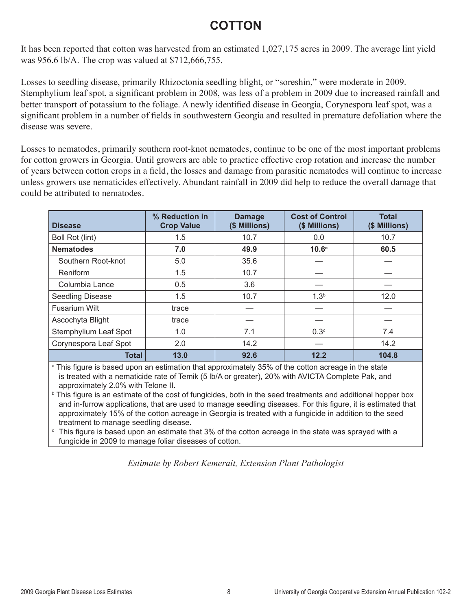#### **COTTON**

It has been reported that cotton was harvested from an estimated 1,027,175 acres in 2009. The average lint yield was 956.6 lb/A. The crop was valued at \$712,666,755.

Losses to seedling disease, primarily Rhizoctonia seedling blight, or "soreshin," were moderate in 2009. Stemphylium leaf spot, a significant problem in 2008, was less of a problem in 2009 due to increased rainfall and better transport of potassium to the foliage. A newly identified disease in Georgia, Corynespora leaf spot, was a significant problem in a number of fields in southwestern Georgia and resulted in premature defoliation where the disease was severe.

Losses to nematodes, primarily southern root-knot nematodes, continue to be one of the most important problems for cotton growers in Georgia. Until growers are able to practice effective crop rotation and increase the number of years between cotton crops in a field, the losses and damage from parasitic nematodes will continue to increase unless growers use nematicides effectively. Abundant rainfall in 2009 did help to reduce the overall damage that could be attributed to nematodes.

| <b>Disease</b>               | % Reduction in<br><b>Crop Value</b> | <b>Damage</b><br>(\$ Millions) | <b>Cost of Control</b><br>(\$ Millions) | <b>Total</b><br>(\$ Millions) |
|------------------------------|-------------------------------------|--------------------------------|-----------------------------------------|-------------------------------|
| Boll Rot (lint)              | 1.5                                 | 10.7                           | 0.0                                     | 10.7                          |
| <b>Nematodes</b>             | 7.0                                 | 49.9                           | 10.6 <sup>a</sup>                       | 60.5                          |
| Southern Root-knot           | 5.0                                 | 35.6                           |                                         |                               |
| Reniform                     | 1.5                                 | 10.7                           |                                         |                               |
| Columbia Lance               | 0.5                                 | 3.6                            |                                         |                               |
| Seedling Disease             | 1.5                                 | 10.7                           | 1.3 <sup>b</sup>                        | 12.0                          |
| <b>Fusarium Wilt</b>         | trace                               |                                |                                         |                               |
| Ascochyta Blight             | trace                               |                                |                                         |                               |
| <b>Stemphylium Leaf Spot</b> | 1.0                                 | 7.1                            | 0.3 <sup>c</sup>                        | 7.4                           |
| Corynespora Leaf Spot        | 2.0                                 | 14.2                           |                                         | 14.2                          |
| <b>Total</b>                 | 13.0                                | 92.6                           | 12.2                                    | 104.8                         |

a This figure is based upon an estimation that approximately 35% of the cotton acreage in the state is treated with a nematicide rate of Temik (5 lb/A or greater), 20% with AVICTA Complete Pak, and approximately 2.0% with Telone II.

b This figure is an estimate of the cost of fungicides, both in the seed treatments and additional hopper box and in-furrow applications, that are used to manage seedling diseases. For this figure, it is estimated that approximately 15% of the cotton acreage in Georgia is treated with a fungicide in addition to the seed treatment to manage seedling disease.

 $\epsilon$  This figure is based upon an estimate that 3% of the cotton acreage in the state was sprayed with a fungicide in 2009 to manage foliar diseases of cotton.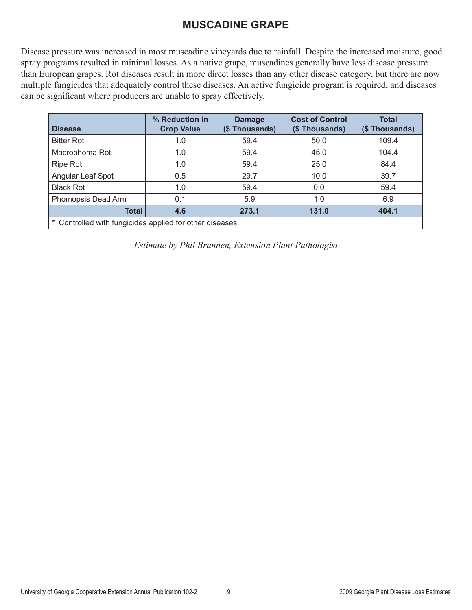#### **MUSCADINE GRAPE**

Disease pressure was increased in most muscadine vineyards due to rainfall. Despite the increased moisture, good spray programs resulted in minimal losses. As a native grape, muscadines generally have less disease pressure than European grapes. Rot diseases result in more direct losses than any other disease category, but there are now multiple fungicides that adequately control these diseases. An active fungicide program is required, and diseases can be significant where producers are unable to spray effectively.

| <b>Disease</b>                                           | % Reduction in<br><b>Crop Value</b> | <b>Damage</b><br>(\$Thousands) | <b>Cost of Control</b><br>(\$Thousands) | <b>Total</b><br>(\$Thousands) |  |
|----------------------------------------------------------|-------------------------------------|--------------------------------|-----------------------------------------|-------------------------------|--|
| <b>Bitter Rot</b>                                        | 1.0                                 | 59.4                           | 50.0                                    | 109.4                         |  |
| Macrophoma Rot                                           | 1.0                                 | 59.4                           | 45.0                                    | 104.4                         |  |
| <b>Ripe Rot</b>                                          | 1.0                                 | 59.4                           | 25.0                                    | 84.4                          |  |
| Angular Leaf Spot                                        | 0.5                                 | 29.7                           | 10.0                                    | 39.7                          |  |
| <b>Black Rot</b>                                         | 1.0                                 | 59.4                           | 0.0                                     | 59.4                          |  |
| Phomopsis Dead Arm                                       | 0.1                                 | 5.9                            | 1.0                                     | 6.9                           |  |
| <b>Total</b>                                             | 4.6                                 | 273.1                          | 131.0                                   | 404.1                         |  |
| * Controlled with fungicides applied for other diseases. |                                     |                                |                                         |                               |  |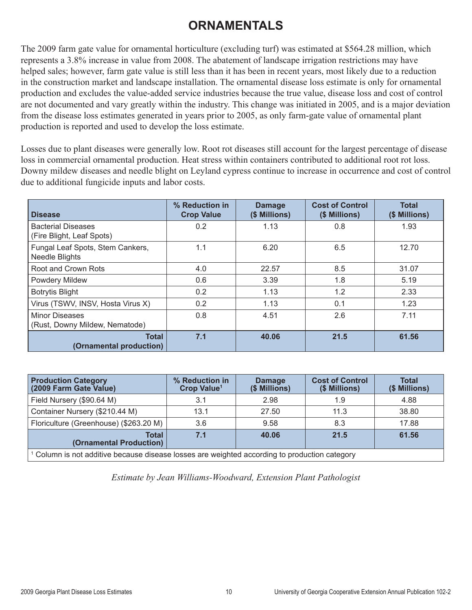#### **ORNAMENTALS**

The 2009 farm gate value for ornamental horticulture (excluding turf) was estimated at \$564.28 million, which represents a 3.8% increase in value from 2008. The abatement of landscape irrigation restrictions may have helped sales; however, farm gate value is still less than it has been in recent years, most likely due to a reduction in the construction market and landscape installation. The ornamental disease loss estimate is only for ornamental production and excludes the value-added service industries because the true value, disease loss and cost of control are not documented and vary greatly within the industry. This change was initiated in 2005, and is a major deviation from the disease loss estimates generated in years prior to 2005, as only farm-gate value of ornamental plant production is reported and used to develop the loss estimate.

Losses due to plant diseases were generally low. Root rot diseases still account for the largest percentage of disease loss in commercial ornamental production. Heat stress within containers contributed to additional root rot loss. Downy mildew diseases and needle blight on Leyland cypress continue to increase in occurrence and cost of control due to additional fungicide inputs and labor costs.

| <b>Disease</b>                                            | % Reduction in<br><b>Crop Value</b> | <b>Damage</b><br>(\$ Millions) | <b>Cost of Control</b><br>(\$ Millions) | <b>Total</b><br>(\$ Millions) |
|-----------------------------------------------------------|-------------------------------------|--------------------------------|-----------------------------------------|-------------------------------|
| <b>Bacterial Diseases</b><br>(Fire Blight, Leaf Spots)    | 0.2                                 | 1.13                           | 0.8                                     | 1.93                          |
| Fungal Leaf Spots, Stem Cankers,<br><b>Needle Blights</b> | 1.1                                 | 6.20                           | 6.5                                     | 12.70                         |
| Root and Crown Rots                                       | 4.0                                 | 22.57                          | 8.5                                     | 31.07                         |
| Powdery Mildew                                            | 0.6                                 | 3.39                           | 1.8                                     | 5.19                          |
| <b>Botrytis Blight</b>                                    | 0.2                                 | 1.13                           | 1.2                                     | 2.33                          |
| Virus (TSWV, INSV, Hosta Virus X)                         | 0.2                                 | 1.13                           | 0.1                                     | 1.23                          |
| <b>Minor Diseases</b><br>(Rust, Downy Mildew, Nematode)   | 0.8                                 | 4.51                           | 2.6                                     | 7.11                          |
| <b>Total</b><br>(Ornamental production)                   | 7.1                                 | 40.06                          | 21.5                                    | 61.56                         |

| <b>Production Category</b><br>(2009 Farm Gate Value)                                                     | % Reduction in<br>Crop Value <sup>1</sup> | <b>Damage</b><br>(\$ Millions) | <b>Cost of Control</b><br>(\$ Millions) | <b>Total</b><br>(\$ Millions) |  |
|----------------------------------------------------------------------------------------------------------|-------------------------------------------|--------------------------------|-----------------------------------------|-------------------------------|--|
| Field Nursery (\$90.64 M)                                                                                | 3.1                                       | 2.98                           | 1.9                                     | 4.88                          |  |
| Container Nursery (\$210.44 M)                                                                           | 13.1                                      | 27.50                          | 11.3                                    | 38.80                         |  |
| Floriculture (Greenhouse) (\$263.20 M)                                                                   | 3.6                                       | 9.58                           | 8.3                                     | 17.88                         |  |
| Total<br>(Ornamental Production)                                                                         | 7.1                                       | 40.06                          | 21.5                                    | 61.56                         |  |
| <sup>1</sup> Column is not additive because disease losses are weighted according to production category |                                           |                                |                                         |                               |  |

*Estimate by Jean Williams-Woodward, Extension Plant Pathologist*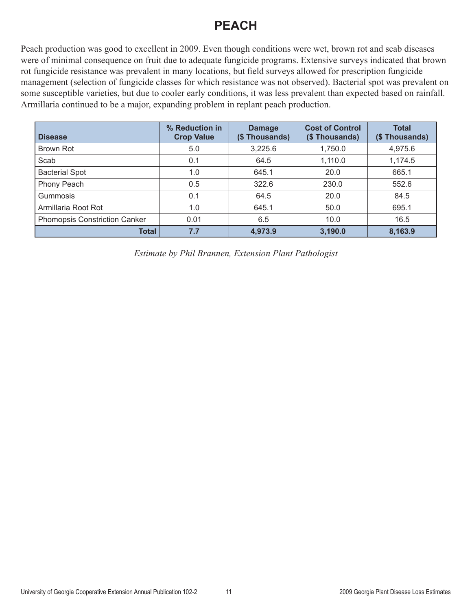#### **PEACH**

Peach production was good to excellent in 2009. Even though conditions were wet, brown rot and scab diseases were of minimal consequence on fruit due to adequate fungicide programs. Extensive surveys indicated that brown rot fungicide resistance was prevalent in many locations, but field surveys allowed for prescription fungicide management (selection of fungicide classes for which resistance was not observed). Bacterial spot was prevalent on some susceptible varieties, but due to cooler early conditions, it was less prevalent than expected based on rainfall. Armillaria continued to be a major, expanding problem in replant peach production.

| <b>Disease</b>                | % Reduction in<br><b>Crop Value</b> | <b>Damage</b><br>(\$Thousands) | <b>Cost of Control</b><br>(\$Thousands) | <b>Total</b><br>(\$Thousands) |
|-------------------------------|-------------------------------------|--------------------------------|-----------------------------------------|-------------------------------|
| Brown Rot                     | 5.0                                 | 3,225.6                        | 1,750.0                                 | 4,975.6                       |
| Scab                          | 0.1                                 | 64.5                           | 1,110.0                                 | 1,174.5                       |
| <b>Bacterial Spot</b>         | 1.0                                 | 645.1                          | 20.0                                    | 665.1                         |
| Phony Peach                   | 0.5                                 | 322.6                          | 230.0                                   | 552.6                         |
| Gummosis                      | 0.1                                 | 64.5                           | 20.0                                    | 84.5                          |
| Armillaria Root Rot           | 1.0                                 | 645.1                          | 50.0                                    | 695.1                         |
| Phomopsis Constriction Canker | 0.01                                | 6.5                            | 10.0                                    | 16.5                          |
| <b>Total</b>                  | 7.7                                 | 4,973.9                        | 3,190.0                                 | 8,163.9                       |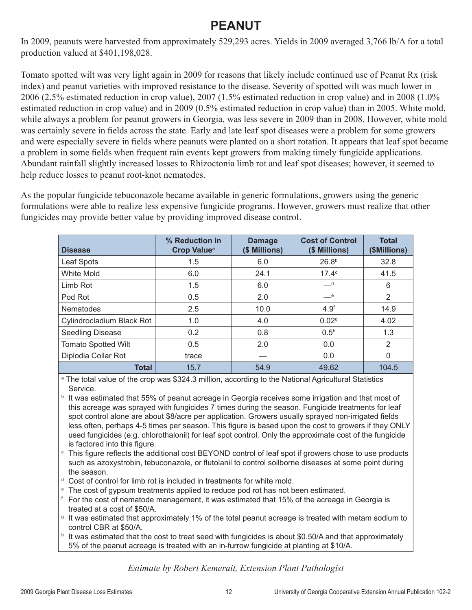#### **PEANUI**

In 2009, peanuts were harvested from approximately 529,293 acres. Yields in 2009 averaged 3,766 lb/A for a total production valued at \$401,198,028.

Tomato spotted wilt was very light again in 2009 for reasons that likely include continued use of Peanut Rx (risk index) and peanut varieties with improved resistance to the disease. Severity of spotted wilt was much lower in 2006 (2.5% estimated reduction in crop value), 2007 (1.5% estimated reduction in crop value) and in 2008 (1.0% estimated reduction in crop value) and in 2009 (0.5% estimated reduction in crop value) than in 2005. White mold, while always a problem for peanut growers in Georgia, was less severe in 2009 than in 2008. However, white mold was certainly severe in fields across the state. Early and late leaf spot diseases were a problem for some growers and were especially severe in fields where peanuts were planted on a short rotation. It appears that leaf spot became a problem in some fields when frequent rain events kept growers from making timely fungicide applications. Abundant rainfall slightly increased losses to Rhizoctonia limb rot and leaf spot diseases; however, it seemed to help reduce losses to peanut root-knot nematodes.

As the popular fungicide tebuconazole became available in generic formulations, growers using the generic formulations were able to realize less expensive fungicide programs. However, growers must realize that other fungicides may provide better value by providing improved disease control.

| <b>Disease</b>             | % Reduction in<br><b>Crop Value<sup>a</sup></b> | <b>Damage</b><br>(\$ Millions) | <b>Cost of Control</b><br>(\$ Millions) | <b>Total</b><br>(\$Millions) |
|----------------------------|-------------------------------------------------|--------------------------------|-----------------------------------------|------------------------------|
| Leaf Spots                 | 1.5                                             | 6.0                            | 26.8 <sup>b</sup>                       | 32.8                         |
| White Mold                 | 6.0                                             | 24.1                           | 17.4c                                   | 41.5                         |
| Limb Rot                   | 1.5                                             | 6.0                            | $-d$                                    | 6                            |
| Pod Rot                    | 0.5                                             | 2.0                            | $-$ e                                   | $\overline{2}$               |
| <b>Nematodes</b>           | 2.5                                             | 10.0                           | 4.9 <sup>f</sup>                        | 14.9                         |
| Cylindrocladium Black Rot  | 1.0                                             | 4.0                            | 0.029                                   | 4.02                         |
| Seedling Disease           | 0.2                                             | 0.8                            | 0.5 <sup>h</sup>                        | 1.3                          |
| <b>Tomato Spotted Wilt</b> | 0.5                                             | 2.0                            | 0.0                                     | 2                            |
| Diplodia Collar Rot        | trace                                           |                                | 0.0                                     | $\Omega$                     |
| Total                      | 15.7                                            | 54.9                           | 49.62                                   | 104.5                        |

a The total value of the crop was \$324.3 million, according to the National Agricultural Statistics Service.

- **b** It was estimated that 55% of peanut acreage in Georgia receives some irrigation and that most of this acreage was sprayed with fungicides 7 times during the season. Fungicide treatments for leaf spot control alone are about \$8/acre per application. Growers usually sprayed non-irrigated fields less often, perhaps 4-5 times per season. This figure is based upon the cost to growers if they ONLY used fungicides (e.g. chlorothalonil) for leaf spot control. Only the approximate cost of the fungicide is factored into this figure.
- <sup>c</sup> This figure reflects the additional cost BEYOND control of leaf spot if growers chose to use products such as azoxystrobin, tebuconazole, or flutolanil to control soilborne diseases at some point during the season.
- <sup>d</sup> Cost of control for limb rot is included in treatments for white mold.
- <sup>e</sup> The cost of gypsum treatments applied to reduce pod rot has not been estimated.
- <sup>f</sup> For the cost of nematode management, it was estimated that 15% of the acreage in Georgia is treated at a cost of \$50/A.
- <sup>9</sup> It was estimated that approximately 1% of the total peanut acreage is treated with metam sodium to control CBR at \$50/A.
- h It was estimated that the cost to treat seed with fungicides is about \$0.50/A and that approximately 5% of the peanut acreage is treated with an in-furrow fungicide at planting at \$10/A.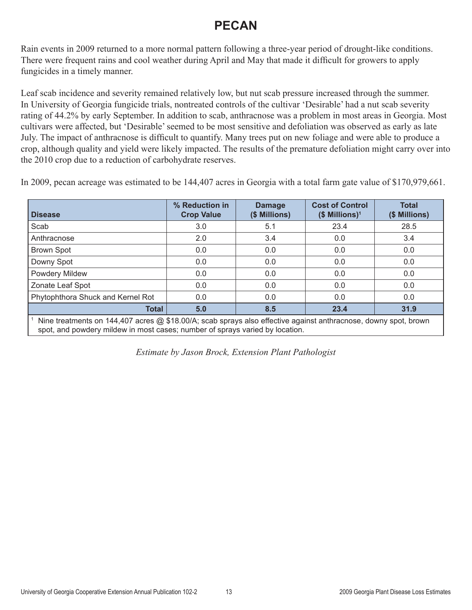#### **PECAN**

Rain events in 2009 returned to a more normal pattern following a three-year period of drought-like conditions. There were frequent rains and cool weather during April and May that made it difficult for growers to apply fungicides in a timely manner.

Leaf scab incidence and severity remained relatively low, but nut scab pressure increased through the summer. In University of Georgia fungicide trials, nontreated controls of the cultivar 'Desirable' had a nut scab severity rating of 44.2% by early September. In addition to scab, anthracnose was a problem in most areas in Georgia. Most cultivars were affected, but 'Desirable' seemed to be most sensitive and defoliation was observed as early as late July. The impact of anthracnose is difficult to quantify. Many trees put on new foliage and were able to produce a crop, although quality and yield were likely impacted. The results of the premature defoliation might carry over into the 2010 crop due to a reduction of carbohydrate reserves.

In 2009, pecan acreage was estimated to be 144,407 acres in Georgia with a total farm gate value of \$170,979,661.

| <b>Disease</b>                                                                                                                                                                                  | % Reduction in<br><b>Crop Value</b> | <b>Damage</b><br>(\$ Millions) | <b>Cost of Control</b><br>$($$ Millions) <sup>1</sup> | <b>Total</b><br>(\$ Millions) |  |  |  |
|-------------------------------------------------------------------------------------------------------------------------------------------------------------------------------------------------|-------------------------------------|--------------------------------|-------------------------------------------------------|-------------------------------|--|--|--|
| Scab                                                                                                                                                                                            | 3.0                                 | 5.1                            | 23.4                                                  | 28.5                          |  |  |  |
| Anthracnose                                                                                                                                                                                     | 2.0                                 | 3.4                            | 0.0                                                   | 3.4                           |  |  |  |
| <b>Brown Spot</b>                                                                                                                                                                               | 0.0                                 | 0.0                            | 0.0                                                   | 0.0                           |  |  |  |
| Downy Spot                                                                                                                                                                                      | 0.0                                 | 0.0                            | 0.0                                                   | 0.0                           |  |  |  |
| Powdery Mildew                                                                                                                                                                                  | 0.0                                 | 0.0                            | 0.0                                                   | 0.0                           |  |  |  |
| Zonate Leaf Spot                                                                                                                                                                                | 0.0                                 | 0.0                            | 0.0                                                   | 0.0                           |  |  |  |
| Phytophthora Shuck and Kernel Rot                                                                                                                                                               | 0.0                                 | 0.0                            | 0.0                                                   | 0.0                           |  |  |  |
| 5.0<br><b>Total</b><br>8.5<br>31.9<br>23.4                                                                                                                                                      |                                     |                                |                                                       |                               |  |  |  |
| Nine treatments on 144,407 acres @ \$18.00/A; scab sprays also effective against anthracnose, downy spot, brown<br>spot, and powdery mildew in most cases; number of sprays varied by location. |                                     |                                |                                                       |                               |  |  |  |

*Estimate by Jason Brock, Extension Plant Pathologist*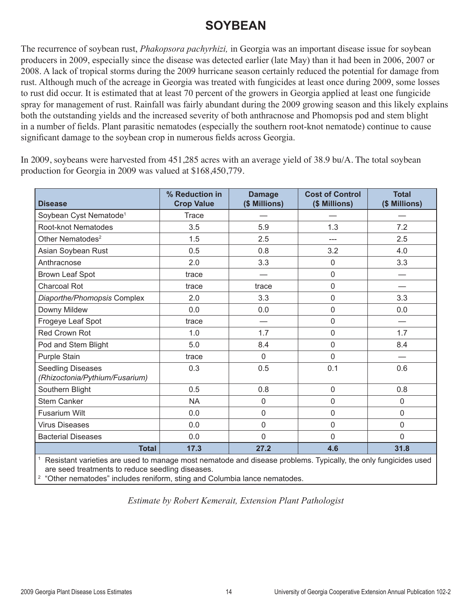#### **SOYBEAN**

The recurrence of soybean rust, *Phakopsora pachyrhizi,* in Georgia was an important disease issue for soybean producers in 2009, especially since the disease was detected earlier (late May) than it had been in 2006, 2007 or 2008. A lack of tropical storms during the 2009 hurricane season certainly reduced the potential for damage from rust. Although much of the acreage in Georgia was treated with fungicides at least once during 2009, some losses to rust did occur. It is estimated that at least 70 percent of the growers in Georgia applied at least one fungicide spray for management of rust. Rainfall was fairly abundant during the 2009 growing season and this likely explains both the outstanding yields and the increased severity of both anthracnose and Phomopsis pod and stem blight in a number of fields. Plant parasitic nematodes (especially the southern root-knot nematode) continue to cause significant damage to the soybean crop in numerous fields across Georgia.

In 2009, soybeans were harvested from 451,285 acres with an average yield of 38.9 bu/A. The total soybean production for Georgia in 2009 was valued at \$168,450,779.

| <b>Disease</b>                                                                                                                 | % Reduction in<br><b>Crop Value</b> | <b>Damage</b><br>(\$ Millions) | <b>Cost of Control</b><br>(\$ Millions) | <b>Total</b><br>(\$ Millions) |
|--------------------------------------------------------------------------------------------------------------------------------|-------------------------------------|--------------------------------|-----------------------------------------|-------------------------------|
| Soybean Cyst Nematode <sup>1</sup>                                                                                             | <b>Trace</b>                        |                                |                                         |                               |
| Root-knot Nematodes                                                                                                            | 3.5                                 | 5.9                            | 1.3                                     | 7.2                           |
| Other Nematodes <sup>2</sup>                                                                                                   | 1.5                                 | 2.5                            | ---                                     | 2.5                           |
| Asian Soybean Rust                                                                                                             | 0.5                                 | 0.8                            | 3.2                                     | 4.0                           |
| Anthracnose                                                                                                                    | 2.0                                 | 3.3                            | $\overline{0}$                          | 3.3                           |
| Brown Leaf Spot                                                                                                                | trace                               |                                | $\mathbf 0$                             |                               |
| <b>Charcoal Rot</b>                                                                                                            | trace                               | trace                          | 0                                       |                               |
| Diaporthe/Phomopsis Complex                                                                                                    | 2.0                                 | 3.3                            | $\mathbf 0$                             | 3.3                           |
| Downy Mildew                                                                                                                   | 0.0                                 | 0.0                            | $\mathbf 0$                             | 0.0                           |
| Frogeye Leaf Spot                                                                                                              | trace                               |                                | $\overline{0}$                          |                               |
| <b>Red Crown Rot</b>                                                                                                           | 1.0                                 | 1.7                            | $\mathbf 0$                             | 1.7                           |
| Pod and Stem Blight                                                                                                            | 5.0                                 | 8.4                            | $\mathbf 0$                             | 8.4                           |
| Purple Stain                                                                                                                   | trace                               | 0                              | $\overline{0}$                          |                               |
| <b>Seedling Diseases</b><br>(Rhizoctonia/Pythium/Fusarium)                                                                     | 0.3                                 | 0.5                            | 0.1                                     | 0.6                           |
| Southern Blight                                                                                                                | 0.5                                 | 0.8                            | $\overline{0}$                          | 0.8                           |
| <b>Stem Canker</b>                                                                                                             | <b>NA</b>                           | 0                              | $\overline{0}$                          | 0                             |
| <b>Fusarium Wilt</b>                                                                                                           | 0.0                                 | 0                              | $\overline{0}$                          | 0                             |
| <b>Virus Diseases</b>                                                                                                          | 0.0                                 | 0                              | $\mathbf 0$                             | 0                             |
| <b>Bacterial Diseases</b>                                                                                                      | 0.0                                 | 0                              | $\overline{0}$                          | 0                             |
| <b>Total</b><br>Resistant varieties are used to manage most nematode and disease problems. Typically, the only fungicides used | 17.3                                | 27.2                           | 4.6                                     | 31.8                          |

<sup>1</sup> Resistant varieties are used to manage most nematode and disease problems. Typically, the only fungicides used are seed treatments to reduce seedling diseases.

<sup>2</sup> "Other nematodes" includes reniform, sting and Columbia lance nematodes.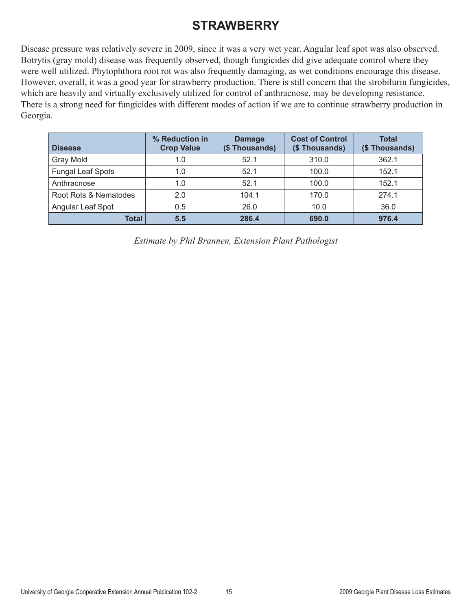### **STRAWBERRY**

Disease pressure was relatively severe in 2009, since it was a very wet year. Angular leaf spot was also observed. Botrytis (gray mold) disease was frequently observed, though fungicides did give adequate control where they were well utilized. Phytophthora root rot was also frequently damaging, as wet conditions encourage this disease. However, overall, it was a good year for strawberry production. There is still concern that the strobilurin fungicides, which are heavily and virtually exclusively utilized for control of anthracnose, may be developing resistance. There is a strong need for fungicides with different modes of action if we are to continue strawberry production in Georgia.

| <b>Disease</b>           | % Reduction in<br><b>Crop Value</b> | <b>Damage</b><br>(\$Thousands) | <b>Cost of Control</b><br>(\$Thousands) | <b>Total</b><br>(\$Thousands) |  |
|--------------------------|-------------------------------------|--------------------------------|-----------------------------------------|-------------------------------|--|
| Gray Mold                | 1.0                                 | 52.1                           | 310.0                                   | 362.1                         |  |
| <b>Fungal Leaf Spots</b> | 1.0                                 | 52.1                           | 100.0                                   | 152.1                         |  |
| Anthracnose              | 52.1<br>1.0                         |                                | 100.0                                   | 152.1                         |  |
| Root Rots & Nematodes    | 2.0                                 | 170.0<br>104.1                 |                                         | 274.1                         |  |
| Angular Leaf Spot        | 26.0<br>10.0<br>0.5                 |                                |                                         | 36.0                          |  |
| Total                    | 5.5                                 | 286.4                          | 690.0                                   | 976.4                         |  |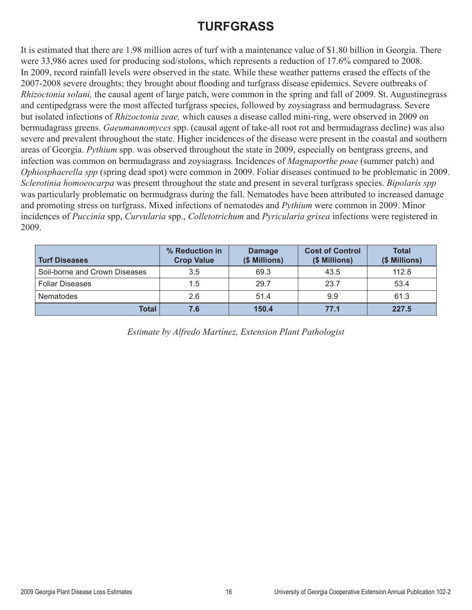#### **TURFGRASS**

It is estimated that there are 1.98 million acres of turf with a maintenance value of \$1.80 billion in Georgia. There were 33,986 acres used for producing sod/stolons, which represents a reduction of 17.6% compared to 2008. In 2009, record rainfall levels were observed in the state. While these weather patterns erased the effects of the 2007-2008 severe droughts; they brought about flooding and turfgrass disease epidemics. Severe outbreaks of *Rhizoctonia solani,* the causal agent of large patch, were common in the spring and fall of 2009. St. Augustinegrass and centipedgrass were the most affected turfgrass species, followed by zoysiagrass and bermudagrass. Severe but isolated infections of *Rhizoctonia zeae,* which causes a disease called mini-ring, were observed in 2009 on bermudagrass greens. *Gaeumannomyces* spp. (causal agent of take-all root rot and bermudagrass decline) was also severe and prevalent throughout the state. Higher incidences of the disease were present in the coastal and southern areas of Georgia. *Pythium* spp. was observed throughout the state in 2009, especially on bentgrass greens, and infection was common on bermudagrass and zoysiagrass. Incidences of *Magnaporthe poae* (summer patch) and *Ophiosphaerella spp* (spring dead spot) were common in 2009. Foliar diseases continued to be problematic in 2009. *Sclerotinia homoeocarpa* was present throughout the state and present in several turfgrass species. *Bipolaris spp* was particularly problematic on bermudgrass during the fall. Nematodes have been attributed to increased damage and promoting stress on turfgrass. Mixed infections of nematodes and *Pythium* were common in 2009. Minor incidences of *Puccinia* spp, *Curvularia* spp., *Colletotrichum* and *Pyricularia grisea* infections were registered in 2009.

| <b>Turf Diseases</b>          | % Reduction in<br><b>Crop Value</b> | <b>Damage</b><br>(\$ Millions) | <b>Cost of Control</b><br>(\$ Millions) | <b>Total</b><br>(\$ Millions) |
|-------------------------------|-------------------------------------|--------------------------------|-----------------------------------------|-------------------------------|
| Soil-borne and Crown Diseases | 3.5                                 | 69.3                           | 43.5                                    | 112.8                         |
| <b>Foliar Diseases</b>        | 1.5                                 | 29.7                           | 23.7                                    | 53.4                          |
| <b>Nematodes</b>              | 2.6                                 | 51.4                           | 9.9                                     | 61.3                          |
| Total                         | 7.6                                 | 150.4                          | 77.1                                    | 227.5                         |

*Estimate by Alfredo Martínez, Extension Plant Pathologist*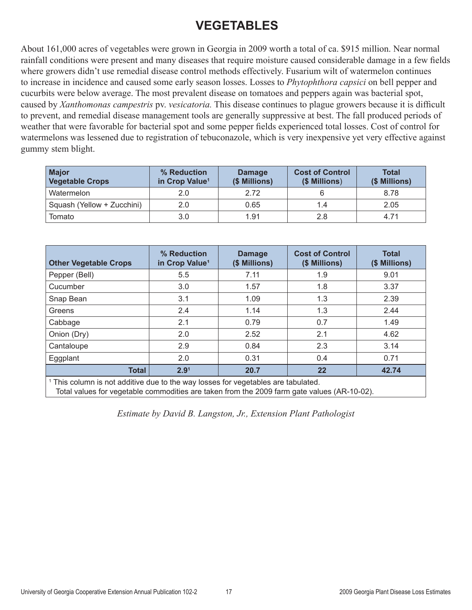### **VEGETABLES**

About 161,000 acres of vegetables were grown in Georgia in 2009 worth a total of ca. \$915 million. Near normal rainfall conditions were present and many diseases that require moisture caused considerable damage in a few fields where growers didn't use remedial disease control methods effectively. Fusarium wilt of watermelon continues to increase in incidence and caused some early season losses. Losses to *Phytophthora capsici* on bell pepper and cucurbits were below average. The most prevalent disease on tomatoes and peppers again was bacterial spot, caused by *Xanthomonas campestris* pv. *vesicatoria.* This disease continues to plague growers because it is difficult to prevent, and remedial disease management tools are generally suppressive at best. The fall produced periods of weather that were favorable for bacterial spot and some pepper fields experienced total losses. Cost of control for watermelons was lessened due to registration of tebuconazole, which is very inexpensive yet very effective against gummy stem blight.

| <b>Major</b><br><b>Vegetable Crops</b> | % Reduction<br>in Crop Value <sup>1</sup> | <b>Damage</b><br>(\$ Millions) | <b>Cost of Control</b><br>(\$ Millions) | <b>Total</b><br>(\$ Millions) |  |
|----------------------------------------|-------------------------------------------|--------------------------------|-----------------------------------------|-------------------------------|--|
| Watermelon                             | 2.0                                       | 2.72                           |                                         | 8.78                          |  |
| Squash (Yellow + Zucchini)             | 2.0                                       | 0.65                           | 1.4                                     | 2.05                          |  |
| Tomato                                 | 3.0                                       | 1.91                           | 2.8                                     | 4.71                          |  |

| <b>Other Vegetable Crops</b>                                                         | % Reduction<br>in Crop Value <sup>1</sup> | <b>Damage</b><br>(\$ Millions) | <b>Cost of Control</b><br>(\$ Millions) | <b>Total</b><br>(\$ Millions) |  |  |
|--------------------------------------------------------------------------------------|-------------------------------------------|--------------------------------|-----------------------------------------|-------------------------------|--|--|
| Pepper (Bell)                                                                        | 5.5                                       | 7.11                           | 1.9                                     | 9.01                          |  |  |
| Cucumber                                                                             | 3.0                                       | 1.57                           | 1.8                                     | 3.37                          |  |  |
| Snap Bean                                                                            | 3.1                                       | 1.09                           | 1.3                                     | 2.39                          |  |  |
| Greens                                                                               | 2.4                                       | 1.14                           | 1.3                                     | 2.44                          |  |  |
| Cabbage                                                                              | 2.1                                       | 0.79                           | 0.7                                     | 1.49                          |  |  |
| Onion (Dry)                                                                          | 2.0                                       | 2.52                           | 2.1                                     | 4.62                          |  |  |
| Cantaloupe                                                                           | 2.9                                       | 0.84                           | 2.3                                     | 3.14                          |  |  |
| Eggplant                                                                             | 2.0                                       | 0.31                           | 0.4                                     | 0.71                          |  |  |
| <b>Total</b>                                                                         | 2.9 <sup>1</sup>                          | 20.7                           | 22                                      | 42.74                         |  |  |
| $\pm$ This column is not additive due to the way losses for vegetables are tabulated |                                           |                                |                                         |                               |  |  |

imn is not additive due to the wa Total values for vegetable commodities are taken from the 2009 farm gate values (AR-10-02).

*Estimate by David B. Langston, Jr., Extension Plant Pathologist*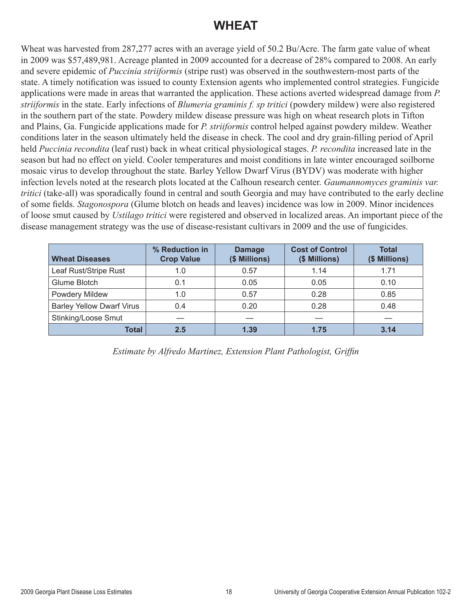#### **WHEAT**

Wheat was harvested from 287,277 acres with an average yield of 50.2 Bu/Acre. The farm gate value of wheat in 2009 was \$57,489,981. Acreage planted in 2009 accounted for a decrease of 28% compared to 2008. An early and severe epidemic of *Puccinia striiformis* (stripe rust) was observed in the southwestern-most parts of the state. A timely notification was issued to county Extension agents who implemented control strategies. Fungicide applications were made in areas that warranted the application. These actions averted widespread damage from *P. striiformis* in the state. Early infections of *Blumeria graminis f. sp tritici* (powdery mildew) were also registered in the southern part of the state. Powdery mildew disease pressure was high on wheat research plots in Tifton and Plains, Ga. Fungicide applications made for *P. striiformis* control helped against powdery mildew. Weather conditions later in the season ultimately held the disease in check. The cool and dry grain-filling period of April held *Puccinia recondita* (leaf rust) back in wheat critical physiological stages. *P. recondita* increased late in the season but had no effect on yield. Cooler temperatures and moist conditions in late winter encouraged soilborne mosaic virus to develop throughout the state. Barley Yellow Dwarf Virus (BYDV) was moderate with higher infection levels noted at the research plots located at the Calhoun research center. *Gaumannomyces graminis var. tritici* (take-all) was sporadically found in central and south Georgia and may have contributed to the early decline of some fields. *Stagonospora* (Glume blotch on heads and leaves) incidence was low in 2009. Minor incidences of loose smut caused by *Ustilago tritici* were registered and observed in localized areas. An important piece of the disease management strategy was the use of disease-resistant cultivars in 2009 and the use of fungicides.

| <b>Wheat Diseases</b>            | % Reduction in<br><b>Crop Value</b> | <b>Damage</b><br>(\$ Millions) | <b>Cost of Control</b><br>(\$ Millions) | <b>Total</b><br>(\$ Millions) |
|----------------------------------|-------------------------------------|--------------------------------|-----------------------------------------|-------------------------------|
| Leaf Rust/Stripe Rust            | 1.0                                 | 0.57                           | 1.14                                    | 1.71                          |
| Glume Blotch                     | 0.1                                 | 0.05                           | 0.05                                    | 0.10                          |
| <b>Powdery Mildew</b>            | 1.0                                 | 0.57                           | 0.28                                    | 0.85                          |
| <b>Barley Yellow Dwarf Virus</b> | 0.4                                 | 0.20                           | 0.28                                    | 0.48                          |
| Stinking/Loose Smut              |                                     |                                |                                         |                               |
| <b>Total</b>                     | 2.5                                 | 1.39                           | 1.75                                    | 3.14                          |

*Estimate by Alfredo Martinez, Extension Plant Pathologist, Griffin*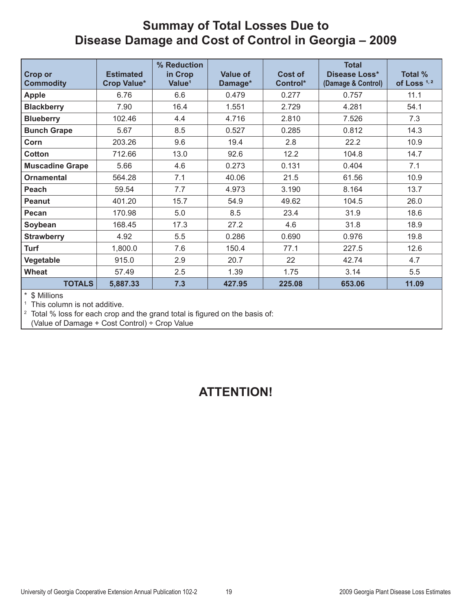#### **Summay of Total Losses Due to Disease Damage and Cost of Control in Georgia – 2009**

| <b>Crop or</b><br><b>Commodity</b> | <b>Estimated</b><br><b>Crop Value*</b> | % Reduction<br>in Crop<br>Value <sup>1</sup> | <b>Value of</b><br>Damage* | Cost of<br>Control* | <b>Total</b><br>Disease Loss*<br>(Damage & Control) | Total %<br>of Loss <sup>1,2</sup> |
|------------------------------------|----------------------------------------|----------------------------------------------|----------------------------|---------------------|-----------------------------------------------------|-----------------------------------|
| <b>Apple</b>                       | 6.76                                   | 6.6                                          | 0.479                      | 0.277               | 0.757                                               | 11.1                              |
| <b>Blackberry</b>                  | 7.90                                   | 16.4                                         | 1.551                      | 2.729               | 4.281                                               | 54.1                              |
| <b>Blueberry</b>                   | 102.46                                 | 4.4                                          | 4.716                      | 2.810               | 7.526                                               | 7.3                               |
| <b>Bunch Grape</b>                 | 5.67                                   | 8.5                                          | 0.527                      | 0.285               | 0.812                                               | 14.3                              |
| Corn                               | 203.26                                 | 9.6                                          | 19.4                       | 2.8                 | 22.2                                                | 10.9                              |
| <b>Cotton</b>                      | 712.66                                 | 13.0                                         | 92.6                       | 12.2                | 104.8                                               | 14.7                              |
| <b>Muscadine Grape</b>             | 5.66                                   | 4.6                                          | 0.273                      | 0.131               | 0.404                                               | 7.1                               |
| <b>Ornamental</b>                  | 564.28                                 | 7.1                                          | 40.06                      | 21.5                | 61.56                                               | 10.9                              |
| Peach                              | 59.54                                  | 7.7                                          | 4.973                      | 3.190               | 8.164                                               | 13.7                              |
| Peanut                             | 401.20                                 | 15.7                                         | 54.9                       | 49.62               | 104.5                                               | 26.0                              |
| Pecan                              | 170.98                                 | 5.0                                          | 8.5                        | 23.4                | 31.9                                                | 18.6                              |
| Soybean                            | 168.45                                 | 17.3                                         | 27.2                       | 4.6                 | 31.8                                                | 18.9                              |
| <b>Strawberry</b>                  | 4.92                                   | 5.5                                          | 0.286                      | 0.690               | 0.976                                               | 19.8                              |
| <b>Turf</b>                        | 1,800.0                                | 7.6                                          | 150.4                      | 77.1                | 227.5                                               | 12.6                              |
| Vegetable                          | 915.0                                  | 2.9                                          | 20.7                       | 22                  | 42.74                                               | 4.7                               |
| <b>Wheat</b>                       | 57.49                                  | 2.5                                          | 1.39                       | 1.75                | 3.14                                                | 5.5                               |
| <b>TOTALS</b>                      | 5,887.33                               | 7.3                                          | 427.95                     | 225.08              | 653.06                                              | 11.09                             |

 $*$  \$ Millions<br><sup>1</sup> This column is not additive.

<sup>2</sup> Total % loss for each crop and the grand total is figured on the basis of:

(Value of Damage + Cost Control) ÷ Crop Value

#### **ATTENTION!**